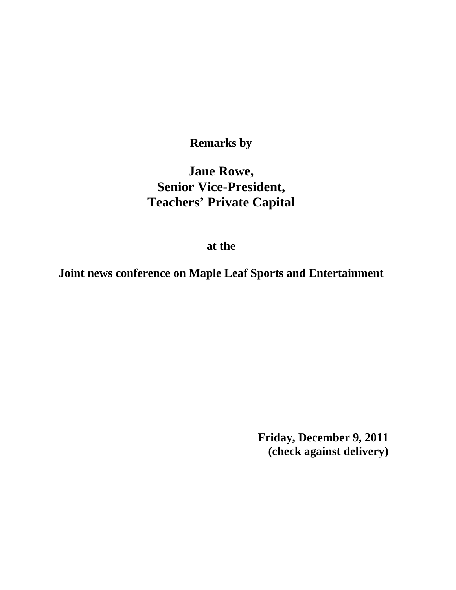**Remarks by** 

## **Jane Rowe, Senior Vice-President, Teachers' Private Capital**

**at the** 

**Joint news conference on Maple Leaf Sports and Entertainment** 

**Friday, December 9, 2011 (check against delivery)**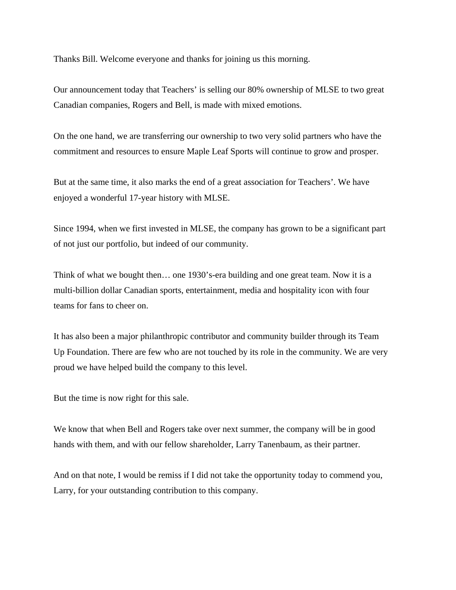Thanks Bill. Welcome everyone and thanks for joining us this morning.

Our announcement today that Teachers' is selling our 80% ownership of MLSE to two great Canadian companies, Rogers and Bell, is made with mixed emotions.

On the one hand, we are transferring our ownership to two very solid partners who have the commitment and resources to ensure Maple Leaf Sports will continue to grow and prosper.

But at the same time, it also marks the end of a great association for Teachers'. We have enjoyed a wonderful 17-year history with MLSE.

Since 1994, when we first invested in MLSE, the company has grown to be a significant part of not just our portfolio, but indeed of our community.

Think of what we bought then… one 1930's-era building and one great team. Now it is a multi-billion dollar Canadian sports, entertainment, media and hospitality icon with four teams for fans to cheer on.

It has also been a major philanthropic contributor and community builder through its Team Up Foundation. There are few who are not touched by its role in the community. We are very proud we have helped build the company to this level.

But the time is now right for this sale.

We know that when Bell and Rogers take over next summer, the company will be in good hands with them, and with our fellow shareholder, Larry Tanenbaum, as their partner.

And on that note, I would be remiss if I did not take the opportunity today to commend you, Larry, for your outstanding contribution to this company.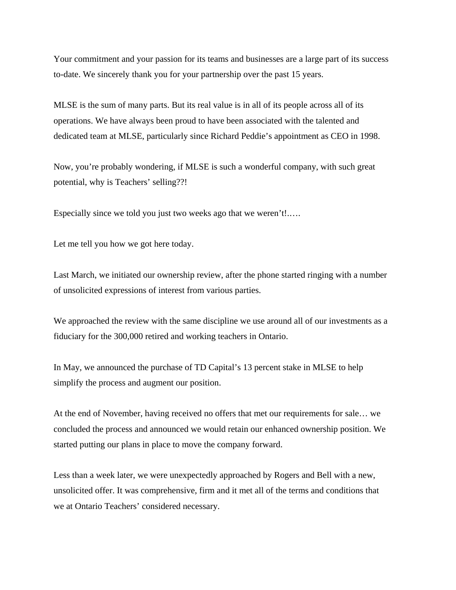Your commitment and your passion for its teams and businesses are a large part of its success to-date. We sincerely thank you for your partnership over the past 15 years.

MLSE is the sum of many parts. But its real value is in all of its people across all of its operations. We have always been proud to have been associated with the talented and dedicated team at MLSE, particularly since Richard Peddie's appointment as CEO in 1998.

Now, you're probably wondering, if MLSE is such a wonderful company, with such great potential, why is Teachers' selling??!

Especially since we told you just two weeks ago that we weren't!.….

Let me tell you how we got here today.

Last March, we initiated our ownership review, after the phone started ringing with a number of unsolicited expressions of interest from various parties.

We approached the review with the same discipline we use around all of our investments as a fiduciary for the 300,000 retired and working teachers in Ontario.

In May, we announced the purchase of TD Capital's 13 percent stake in MLSE to help simplify the process and augment our position.

At the end of November, having received no offers that met our requirements for sale… we concluded the process and announced we would retain our enhanced ownership position. We started putting our plans in place to move the company forward.

Less than a week later, we were unexpectedly approached by Rogers and Bell with a new, unsolicited offer. It was comprehensive, firm and it met all of the terms and conditions that we at Ontario Teachers' considered necessary.